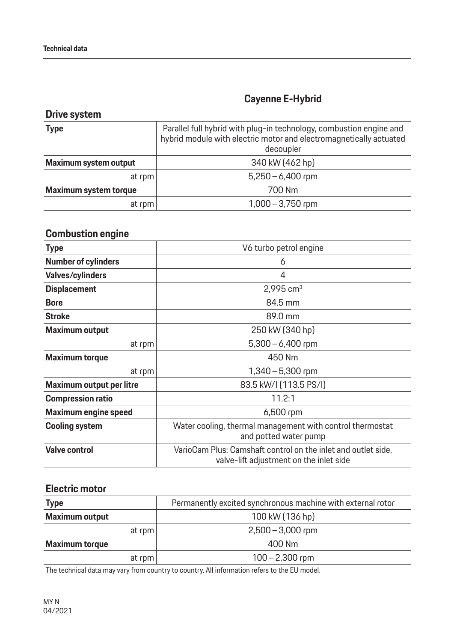### **Drive system**

| <b>Type</b>                  | Parallel full hybrid with plug-in technology, combustion engine and<br>hybrid module with electric motor and electromagnetically actuated<br>decoupler |
|------------------------------|--------------------------------------------------------------------------------------------------------------------------------------------------------|
| Maximum system output        | 340 kW (462 hp)                                                                                                                                        |
| at rpm                       | $5,250 - 6,400$ rpm                                                                                                                                    |
| <b>Maximum system torque</b> | 700 Nm                                                                                                                                                 |
| at rpm                       | $1,000 - 3,750$ rpm                                                                                                                                    |

## **Combustion engine**

| <b>Type</b>                     | V6 turbo petrol engine                                                                                   |
|---------------------------------|----------------------------------------------------------------------------------------------------------|
| <b>Number of cylinders</b>      | 6                                                                                                        |
| <b>Valves/cylinders</b>         | 4                                                                                                        |
| <b>Displacement</b>             | $2,995$ cm <sup>3</sup>                                                                                  |
| <b>Bore</b>                     | 84.5 mm                                                                                                  |
| <b>Stroke</b>                   | 89.0 mm                                                                                                  |
| <b>Maximum output</b>           | 250 kW (340 hp)                                                                                          |
| at rpm                          | $5,300 - 6,400$ rpm                                                                                      |
| <b>Maximum torque</b>           | 450 Nm                                                                                                   |
| at rpm                          | $1,340 - 5,300$ rpm                                                                                      |
| <b>Maximum output per litre</b> | 83.5 kW/I (113.5 PS/I)                                                                                   |
| <b>Compression ratio</b>        | 11.2:1                                                                                                   |
| <b>Maximum engine speed</b>     | $6,500$ rpm                                                                                              |
| <b>Cooling system</b>           | Water cooling, thermal management with control thermostat<br>and potted water pump                       |
| <b>Valve control</b>            | VarioCam Plus: Camshaft control on the inlet and outlet side,<br>valve-lift adjustment on the inlet side |

#### **Electric motor**

| <b>Type</b>           | Permanently excited synchronous machine with external rotor |
|-----------------------|-------------------------------------------------------------|
| <b>Maximum output</b> | 100 kW (136 hp)                                             |
| at rpm                | $2,500 - 3,000$ rpm                                         |
| <b>Maximum torque</b> | 400 Nm                                                      |
| at rpm                | $100 - 2,300$ rpm                                           |

The technical data may vary from country to country. All information refers to the EU model.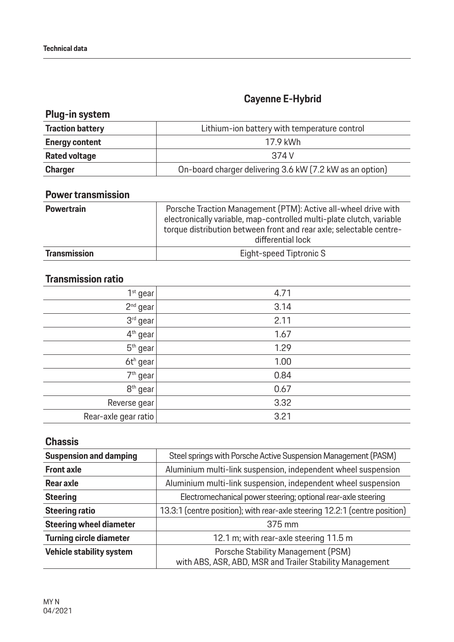## **Plug-in system**

| <b>Traction battery</b> | Lithium-ion battery with temperature control             |
|-------------------------|----------------------------------------------------------|
| <b>Energy content</b>   | 17.9 kWh                                                 |
| <b>Rated voltage</b>    | 374 V                                                    |
| <b>Charger</b>          | On-board charger delivering 3.6 kW (7.2 kW as an option) |

### **Power transmission**

| <b>Powertrain</b>   | Porsche Traction Management (PTM): Active all-wheel drive with<br>electronically variable, map-controlled multi-plate clutch, variable<br>torque distribution between front and rear axle; selectable centre-<br>differential lock |
|---------------------|------------------------------------------------------------------------------------------------------------------------------------------------------------------------------------------------------------------------------------|
| <b>Transmission</b> | Eight-speed Tiptronic S                                                                                                                                                                                                            |

### **Transmission ratio**

| 1 <sup>st</sup> gear | 4.71 |
|----------------------|------|
| $2nd$ gear           | 3.14 |
| 3rd gear             | 2.11 |
| 4 <sup>th</sup> gear | 1.67 |
| 5 <sup>th</sup> gear | 1.29 |
| 6th gear!            | 1.00 |
| 7 <sup>th</sup> gear | 0.84 |
| 8 <sup>th</sup> gear | 0.67 |
| Reverse gear         | 3.32 |
| Rear-axle gear ratio | 3.21 |

### **Chassis**

| <b>Suspension and damping</b>  | Steel springs with Porsche Active Suspension Management (PASM)                                 |
|--------------------------------|------------------------------------------------------------------------------------------------|
| <b>Front axle</b>              | Aluminium multi-link suspension, independent wheel suspension                                  |
| Rear axle                      | Aluminium multi-link suspension, independent wheel suspension                                  |
| <b>Steering</b>                | Electromechanical power steering; optional rear-axle steering                                  |
| <b>Steering ratio</b>          | 13.3:1 (centre position); with rear-axle steering 12.2:1 (centre position)                     |
| <b>Steering wheel diameter</b> | 375 mm                                                                                         |
| <b>Turning circle diameter</b> | 12.1 m; with rear-axle steering 11.5 m                                                         |
| Vehicle stability system       | Porsche Stability Management (PSM)<br>with ABS, ASR, ABD, MSR and Trailer Stability Management |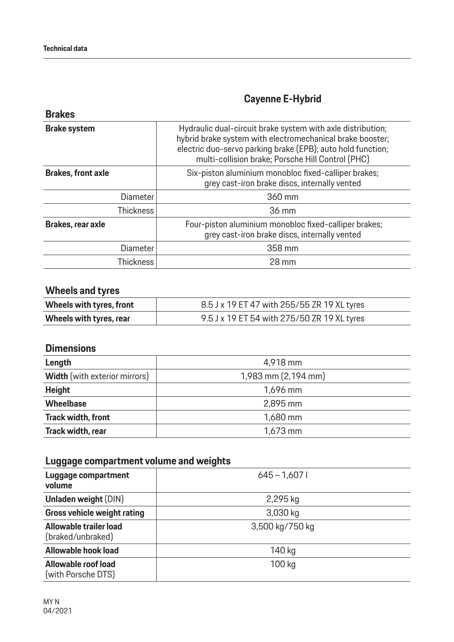| <b>Brakes</b>             |                                                                                                                                                                                                                                              |
|---------------------------|----------------------------------------------------------------------------------------------------------------------------------------------------------------------------------------------------------------------------------------------|
| <b>Brake system</b>       | Hydraulic dual-circuit brake system with axle distribution;<br>hybrid brake system with electromechanical brake booster;<br>electric duo-servo parking brake (EPB); auto hold function;<br>multi-collision brake; Porsche Hill Control (PHC) |
| <b>Brakes, front axle</b> | Six-piston aluminium monobloc fixed-calliper brakes;<br>grey cast-iron brake discs, internally vented                                                                                                                                        |
| <b>Diameter</b>           | 360 mm                                                                                                                                                                                                                                       |
| <b>Thickness</b>          | 36 mm                                                                                                                                                                                                                                        |
| Brakes, rear axle         | Four-piston aluminium monobloc fixed-calliper brakes;<br>grey cast-iron brake discs, internally vented                                                                                                                                       |
| Diameter                  | 358 mm                                                                                                                                                                                                                                       |
| <b>Thickness</b>          | 28 mm                                                                                                                                                                                                                                        |

## **Wheels and tyres**

| Wheels with tyres, front | 8.5 J x 19 ET 47 with 255/55 ZR 19 XL tyres |
|--------------------------|---------------------------------------------|
| Wheels with tyres, rear  | 9.5 J x 19 ET 54 with 275/50 ZR 19 XL tyres |

### **Dimensions**

| Length                               | 4,918 mm            |
|--------------------------------------|---------------------|
| <b>Width</b> (with exterior mirrors) | 1,983 mm (2,194 mm) |
| <b>Height</b>                        | $1,696$ mm          |
| <b>Wheelbase</b>                     | $2,895$ mm          |
| <b>Track width, front</b>            | $1,680$ mm          |
| Track width, rear                    | $1,673$ mm          |

## **Luggage compartment volume and weights**

| Luggage compartment<br>volume               | $645 - 1,6071$  |
|---------------------------------------------|-----------------|
| <b>Unladen weight (DIN)</b>                 | 2,295 kg        |
| <b>Gross vehicle weight rating</b>          | 3,030 kg        |
| Allowable trailer load<br>(braked/unbraked) | 3,500 kg/750 kg |
| <b>Allowable hook load</b>                  | 140 kg          |
| Allowable roof load<br>(with Porsche DTS)   | 100 kg          |